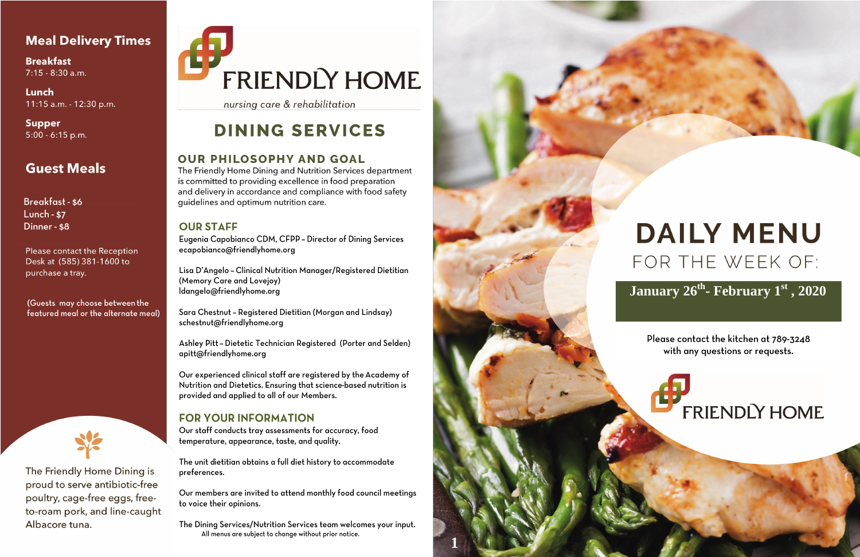## **Meal Delivery Times**

**Breakfast** 7:15 - 8:30 a.m.

Lunch 11:15 a.m. - 12:30 p.m.

**Supper**  $5:00 - 6:15$  p.m.

# **Guest Meals**

Breakfast - \$6 **Lunch - \$7** Dinner - \$8

Please contact the Reception Desk at (585) 381-1600 to purchase a tray.

(Guests may choose between the featured meal or the alternate meal)



The Friendly Home Dining is proud to serve antibiotic-free poultry, cage-free eggs, freeto-roam pork, and line-caught Albacore tuna.

# **FRIENDLY HOME**

nursing care & rehabilitation

# **DINING SERVICES**

## **OUR PHILOSOPHY AND GOAL**

The Friendly Home Dining and Nutrition Services department is committed to providing excellence in food preparation and delivery in accordance and compliance with food safety guidelines and optimum nutrition care.

### **OUR STAFF**

Eugenia Capobianco CDM, CFPP - Director of Dining Services ecapobianco@friendlyhome.org

Lisa D'Angelo - Clinical Nutrition Manager/Registered Dietitian (Memory Care and Lovejoy) Idangelo@friendlyhome.org

Sara Chestnut - Registered Dietitian (Morgan and Lindsay) schestnut@friendlyhome.org

Ashley Pitt - Dietetic Technician Registered (Porter and Selden) apitt@friendlyhome.org

Our experienced clinical staff are registered by the Academy of Nutrition and Dietetics. Ensuring that science-based nutrition is provided and applied to all of our Members.

## **FOR YOUR INFORMATION**

Our staff conducts tray assessments for accuracy, food temperature, appearance, taste, and quality.

The unit dietitian obtains a full diet history to accommodate preferences.

Our members are invited to attend monthly food council meetings to voice their opinions.

The Dining Services/Nutrition Services team welcomes your input. All menus are subject to change without prior notice.



# **DAILY MENU** FOR THE WEEK OF:

# January 26<sup>th</sup> - February 1<sup>st</sup>, 2020

Please contact the kitchen at 789-3248 with any questions or requests.

# **FRIENDLY HOME**